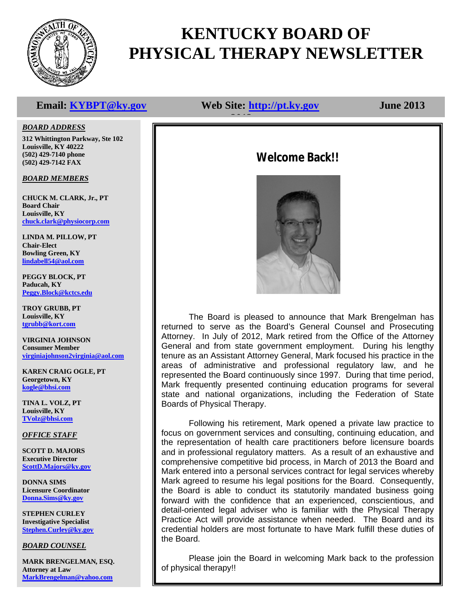

## **KENTUCKY BOARD OF PHYSICAL THERAPY NEWSLETTER**

### **Email: KYBPT@ky.gov Web Site: http://pt.ky.gov June 2013**

# **2012**

#### *BOARD ADDRESS*

**312 Whittington Parkway, Ste 102 Louisville, KY 40222 (502) 429-7140 phone (502) 429-7142 FAX**

#### *BOARD MEMBERS*

**CHUCK M. CLARK, Jr., PT Board Chair Louisville, KY chuck.clark@physiocorp.com**

**LINDA M. PILLOW, PT Chair-Elect Bowling Green, KY lindabell54@aol.com**

**PEGGY BLOCK, PT Paducah, KY Peggy.Block@kctcs.edu**

**TROY GRUBB, PT Louisville, KY tgrubb@kort.com**

**VIRGINIA JOHNSON Consumer Member virginiajohnson2virginia@aol.com**

**KAREN CRAIG OGLE, PT Georgetown, KY kogle@bhsi.com**

**TINA L. VOLZ, PT Louisville, KY TVolz@bhsi.com**

#### *OFFICE STAFF*

**SCOTT D. MAJORS Executive Director ScottD.Majors@ky.gov**

**DONNA SIMS Licensure Coordinator Donna.Sims@ky.gov**

**STEPHEN CURLEY Investigative Specialist Stephen.Curley@ky.gov**

*BOARD COUNSEL*

**MARK BRENGELMAN, ESQ. Attorney at Law MarkBrengelman@yahoo.com**

## **Welcome Back!!**



The Board is pleased to announce that Mark Brengelman has returned to serve as the Board's General Counsel and Prosecuting Attorney. In July of 2012, Mark retired from the Office of the Attorney General and from state government employment. During his lengthy tenure as an Assistant Attorney General, Mark focused his practice in the areas of administrative and professional regulatory law, and he represented the Board continuously since 1997. During that time period, Mark frequently presented continuing education programs for several state and national organizations, including the Federation of State Boards of Physical Therapy.

Following his retirement, Mark opened a private law practice to focus on government services and consulting, continuing education, and the representation of health care practitioners before licensure boards and in professional regulatory matters. As a result of an exhaustive and comprehensive competitive bid process, in March of 2013 the Board and Mark entered into a personal services contract for legal services whereby Mark agreed to resume his legal positions for the Board. Consequently, the Board is able to conduct its statutorily mandated business going forward with the confidence that an experienced, conscientious, and detail-oriented legal adviser who is familiar with the Physical Therapy Practice Act will provide assistance when needed. The Board and its credential holders are most fortunate to have Mark fulfill these duties of the Board.

Please join the Board in welcoming Mark back to the profession of physical therapy!!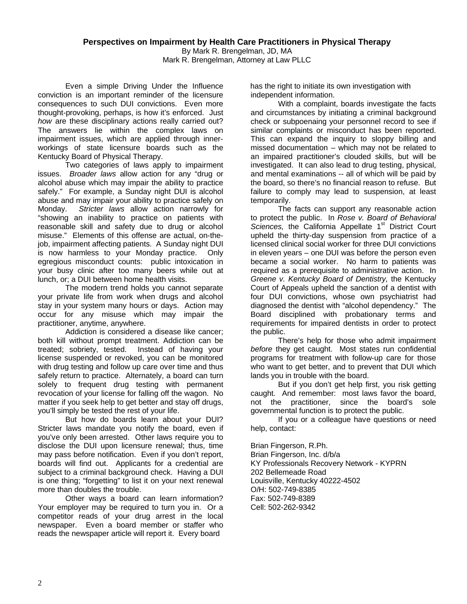Even a simple Driving Under the Influence conviction is an important reminder of the licensure consequences to such DUI convictions. Even more thought-provoking, perhaps, is how it's enforced. Just *how* are these disciplinary actions really carried out? The answers lie within the complex laws on impairment issues, which are applied through innerworkings of state licensure boards such as the Kentucky Board of Physical Therapy.

Two categories of laws apply to impairment issues. *Broader laws* allow action for any "drug or alcohol abuse which may impair the ability to practice safely." For example, a Sunday night DUI is alcohol abuse and may impair your ability to practice safely on Monday. *Stricter laws* allow action narrowly for "showing an inability to practice on patients with reasonable skill and safety due to drug or alcohol misuse." Elements of this offense are actual, on-thejob, impairment affecting patients. A Sunday night DUI is now harmless to your Monday practice. Only egregious misconduct counts: public intoxication in your busy clinic after too many beers while out at lunch, or; a DUI between home health visits.

The modern trend holds you cannot separate your private life from work when drugs and alcohol stay in your system many hours or days. Action may occur for any misuse which may impair the practitioner, anytime, anywhere.

Addiction is considered a disease like cancer; both kill without prompt treatment. Addiction can be treated; sobriety, tested. Instead of having your license suspended or revoked, you can be monitored with drug testing and follow up care over time and thus safely return to practice. Alternately, a board can turn solely to frequent drug testing with permanent revocation of your license for falling off the wagon. No matter if you seek help to get better and stay off drugs, you'll simply be tested the rest of your life.

But how do boards learn about your DUI? Stricter laws mandate you notify the board, even if you've only been arrested. Other laws require you to disclose the DUI upon licensure renewal; thus, time may pass before notification. Even if you don't report, boards will find out. Applicants for a credential are subject to a criminal background check. Having a DUI is one thing; "forgetting" to list it on your next renewal more than doubles the trouble.

Other ways a board can learn information? Your employer may be required to turn you in. Or a competitor reads of your drug arrest in the local newspaper. Even a board member or staffer who reads the newspaper article will report it. Every board

has the right to initiate its own investigation with independent information.

With a complaint, boards investigate the facts and circumstances by initiating a criminal background check or subpoenaing your personnel record to see if similar complaints or misconduct has been reported. This can expand the inquiry to sloppy billing and missed documentation – which may not be related to an impaired practitioner's clouded skills, but will be investigated. It can also lead to drug testing, physical, and mental examinations -- all of which will be paid by the board, so there's no financial reason to refuse. But failure to comply may lead to suspension, at least temporarily.

The facts can support any reasonable action to protect the public. In *Rose v. Board of Behavioral*  Sciences, the California Appellate 1<sup>st</sup> District Court upheld the thirty-day suspension from practice of a licensed clinical social worker for three DUI convictions in eleven years – one DUI was before the person even became a social worker. No harm to patients was required as a prerequisite to administrative action. In *Greene v. Kentucky Board of Dentistry,* the Kentucky Court of Appeals upheld the sanction of a dentist with four DUI convictions, whose own psychiatrist had diagnosed the dentist with "alcohol dependency." The Board disciplined with probationary terms and requirements for impaired dentists in order to protect the public.

There's help for those who admit impairment *before* they get caught. Most states run confidential programs for treatment with follow-up care for those who want to get better, and to prevent that DUI which lands you in trouble with the board.

But if you don't get help first, you risk getting caught. And remember: most laws favor the board, not the practitioner, since the board's sole governmental function is to protect the public.

If you or a colleague have questions or need help, contact:

Brian Fingerson, R.Ph. Brian Fingerson, Inc. d/b/a KY Professionals Recovery Network - KYPRN 202 Bellemeade Road Louisville, Kentucky 40222-4502 O/H: 502-749-8385 Fax: 502-749-8389 Cell: 502-262-9342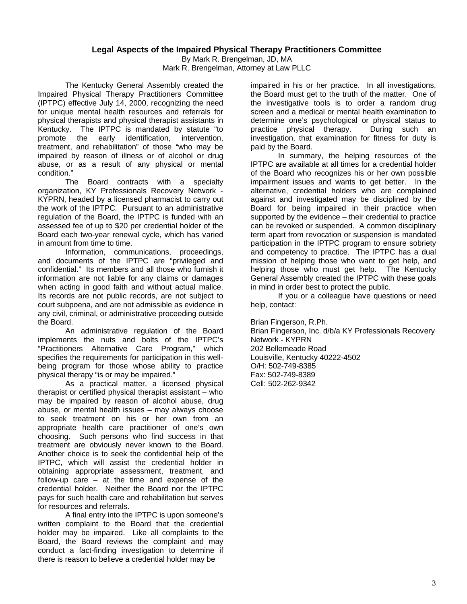#### **Legal Aspects of the Impaired Physical Therapy Practitioners Committee**

By Mark R. Brengelman, JD, MA Mark R. Brengelman, Attorney at Law PLLC

The Kentucky General Assembly created the Impaired Physical Therapy Practitioners Committee (IPTPC) effective July 14, 2000, recognizing the need for unique mental health resources and referrals for physical therapists and physical therapist assistants in Kentucky. The IPTPC is mandated by statute "to promote the early identification, intervention, treatment, and rehabilitation" of those "who may be impaired by reason of illness or of alcohol or drug abuse, or as a result of any physical or mental condition."

The Board contracts with a specialty organization, KY Professionals Recovery Network - KYPRN, headed by a licensed pharmacist to carry out the work of the IPTPC. Pursuant to an administrative regulation of the Board, the IPTPC is funded with an assessed fee of up to \$20 per credential holder of the Board each two-year renewal cycle, which has varied in amount from time to time.

Information, communications, proceedings, and documents of the IPTPC are "privileged and confidential." Its members and all those who furnish it information are not liable for any claims or damages when acting in good faith and without actual malice. Its records are not public records, are not subject to court subpoena, and are not admissible as evidence in any civil, criminal, or administrative proceeding outside the Board.

An administrative regulation of the Board implements the nuts and bolts of the IPTPC's "Practitioners Alternative Care Program," which specifies the requirements for participation in this wellbeing program for those whose ability to practice physical therapy "is or may be impaired."

As a practical matter, a licensed physical therapist or certified physical therapist assistant – who may be impaired by reason of alcohol abuse, drug abuse, or mental health issues – may always choose to seek treatment on his or her own from an appropriate health care practitioner of one's own choosing. Such persons who find success in that treatment are obviously never known to the Board. Another choice is to seek the confidential help of the IPTPC, which will assist the credential holder in obtaining appropriate assessment, treatment, and follow-up care  $-$  at the time and expense of the credential holder. Neither the Board nor the IPTPC pays for such health care and rehabilitation but serves for resources and referrals.

A final entry into the IPTPC is upon someone's written complaint to the Board that the credential holder may be impaired. Like all complaints to the Board, the Board reviews the complaint and may conduct a fact-finding investigation to determine if there is reason to believe a credential holder may be

impaired in his or her practice. In all investigations, the Board must get to the truth of the matter. One of the investigative tools is to order a random drug screen and a medical or mental health examination to determine one's psychological or physical status to practice physical therapy. During such an investigation, that examination for fitness for duty is paid by the Board.

In summary, the helping resources of the IPTPC are available at all times for a credential holder of the Board who recognizes his or her own possible impairment issues and wants to get better. In the alternative, credential holders who are complained against and investigated may be disciplined by the Board for being impaired in their practice when supported by the evidence – their credential to practice can be revoked or suspended. A common disciplinary term apart from revocation or suspension is mandated participation in the IPTPC program to ensure sobriety and competency to practice. The IPTPC has a dual mission of helping those who want to get help, and helping those who must get help. The Kentucky General Assembly created the IPTPC with these goals in mind in order best to protect the public.

If you or a colleague have questions or need help, contact:

Brian Fingerson, R.Ph.

Brian Fingerson, Inc. d/b/a KY Professionals Recovery Network - KYPRN 202 Bellemeade Road Louisville, Kentucky 40222-4502 O/H: 502-749-8385 Fax: 502-749-8389 Cell: 502-262-9342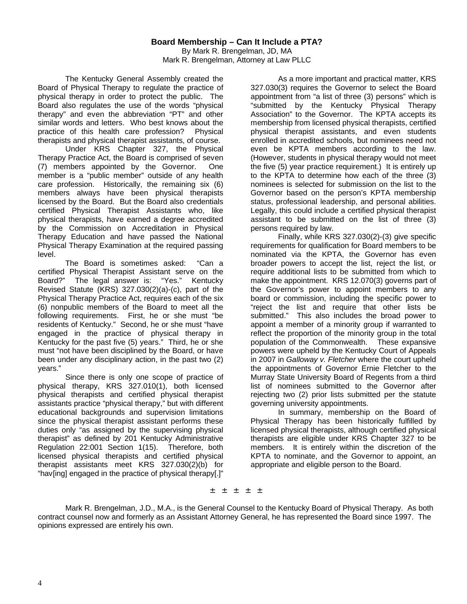The Kentucky General Assembly created the Board of Physical Therapy to regulate the practice of physical therapy in order to protect the public. The Board also regulates the use of the words "physical therapy" and even the abbreviation "PT" and other similar words and letters. Who best knows about the practice of this health care profession? Physical therapists and physical therapist assistants, of course.

Under KRS Chapter 327, the Physical Therapy Practice Act, the Board is comprised of seven (7) members appointed by the Governor. One member is a "public member" outside of any health care profession. Historically, the remaining six (6) members always have been physical therapists licensed by the Board. But the Board also credentials certified Physical Therapist Assistants who, like physical therapists, have earned a degree accredited by the Commission on Accreditation in Physical Therapy Education and have passed the National Physical Therapy Examination at the required passing level.

The Board is sometimes asked: "Can a certified Physical Therapist Assistant serve on the Board?" The legal answer is: "Yes." Kentucky Revised Statute (KRS) 327.030(2)(a)-(c), part of the Physical Therapy Practice Act, requires each of the six (6) nonpublic members of the Board to meet all the following requirements. First, he or she must "be residents of Kentucky." Second, he or she must "have engaged in the practice of physical therapy in Kentucky for the past five (5) years." Third, he or she must "not have been disciplined by the Board, or have been under any disciplinary action, in the past two (2) years."

Since there is only one scope of practice of physical therapy, KRS 327.010(1), both licensed physical therapists and certified physical therapist assistants practice "physical therapy," but with different educational backgrounds and supervision limitations since the physical therapist assistant performs these duties only "as assigned by the supervising physical therapist" as defined by 201 Kentucky Administrative Regulation 22:001 Section 1(15). Therefore, both licensed physical therapists and certified physical therapist assistants meet KRS 327.030(2)(b) for "hav[ing] engaged in the practice of physical therapy[.]"

As a more important and practical matter, KRS 327.030(3) requires the Governor to select the Board appointment from "a list of three (3) persons" which is "submitted by the Kentucky Physical Therapy Association" to the Governor. The KPTA accepts its membership from licensed physical therapists, certified physical therapist assistants, and even students enrolled in accredited schools, but nominees need not even be KPTA members according to the law. (However, students in physical therapy would not meet the five (5) year practice requirement.) It is entirely up to the KPTA to determine how each of the three (3) nominees is selected for submission on the list to the Governor based on the person's KPTA membership status, professional leadership, and personal abilities. Legally, this could include a certified physical therapist assistant to be submitted on the list of three (3) persons required by law.

Finally, while KRS 327.030(2)-(3) give specific requirements for qualification for Board members to be nominated via the KPTA, the Governor has even broader powers to accept the list, reject the list, or require additional lists to be submitted from which to make the appointment. KRS 12.070(3) governs part of the Governor's power to appoint members to any board or commission, including the specific power to "reject the list and require that other lists be submitted." This also includes the broad power to appoint a member of a minority group if warranted to reflect the proportion of the minority group in the total population of the Commonwealth. These expansive powers were upheld by the Kentucky Court of Appeals in 2007 in *Galloway v. Fletcher* where the court upheld the appointments of Governor Ernie Fletcher to the Murray State University Board of Regents from a third list of nominees submitted to the Governor after rejecting two (2) prior lists submitted per the statute governing university appointments.

In summary, membership on the Board of Physical Therapy has been historically fulfilled by licensed physical therapists, although certified physical therapists are eligible under KRS Chapter 327 to be members. It is entirely within the discretion of the KPTA to nominate, and the Governor to appoint, an appropriate and eligible person to the Board.

± ± ± ± ±

Mark R. Brengelman, J.D., M.A., is the General Counsel to the Kentucky Board of Physical Therapy. As both contract counsel now and formerly as an Assistant Attorney General, he has represented the Board since 1997. The opinions expressed are entirely his own.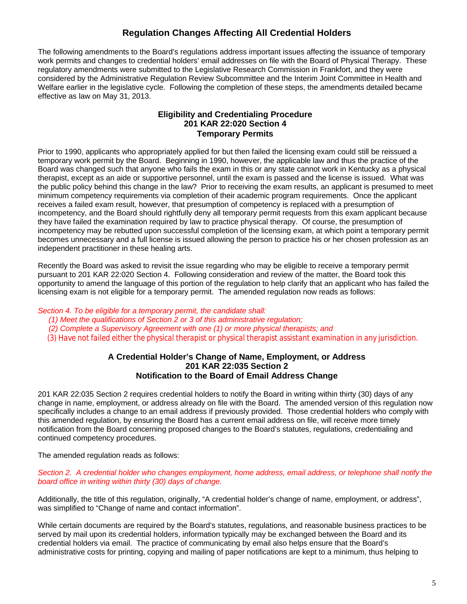### **Regulation Changes Affecting All Credential Holders**

The following amendments to the Board's regulations address important issues affecting the issuance of temporary work permits and changes to credential holders' email addresses on file with the Board of Physical Therapy. These regulatory amendments were submitted to the Legislative Research Commission in Frankfort, and they were considered by the Administrative Regulation Review Subcommittee and the Interim Joint Committee in Health and Welfare earlier in the legislative cycle. Following the completion of these steps, the amendments detailed became effective as law on May 31, 2013.

#### **Eligibility and Credentialing Procedure 201 KAR 22:020 Section 4 Temporary Permits**

Prior to 1990, applicants who appropriately applied for but then failed the licensing exam could still be reissued a temporary work permit by the Board. Beginning in 1990, however, the applicable law and thus the practice of the Board was changed such that anyone who fails the exam in this or any state cannot work in Kentucky as a physical therapist, except as an aide or supportive personnel, until the exam is passed and the license is issued. What was the public policy behind this change in the law? Prior to receiving the exam results, an applicant is presumed to meet minimum competency requirements via completion of their academic program requirements. Once the applicant receives a failed exam result, however, that presumption of competency is replaced with a presumption of incompetency, and the Board should rightfully deny all temporary permit requests from this exam applicant because they have failed the examination required by law to practice physical therapy. Of course, the presumption of incompetency may be rebutted upon successful completion of the licensing exam, at which point a temporary permit becomes unnecessary and a full license is issued allowing the person to practice his or her chosen profession as an independent practitioner in these healing arts.

Recently the Board was asked to revisit the issue regarding who may be eligible to receive a temporary permit pursuant to 201 KAR 22:020 Section 4. Following consideration and review of the matter, the Board took this opportunity to amend the language of this portion of the regulation to help clarify that an applicant who has failed the licensing exam is not eligible for a temporary permit. The amended regulation now reads as follows:

#### *Section 4. To be eligible for a temporary permit, the candidate shall:*

- *(1) Meet the qualifications of Section 2 or 3 of this administrative regulation;*
- *(2) Complete a Supervisory Agreement with one (1) or more physical therapists; and*
- *(3) Have not failed either the physical therapist or physical therapist assistant examination in any jurisdiction.*

#### **A Credential Holder's Change of Name, Employment, or Address 201 KAR 22:035 Section 2 Notification to the Board of Email Address Change**

201 KAR 22:035 Section 2 requires credential holders to notify the Board in writing within thirty (30) days of any change in name, employment, or address already on file with the Board. The amended version of this regulation now specifically includes a change to an email address if previously provided. Those credential holders who comply with this amended regulation, by ensuring the Board has a current email address on file, will receive more timely notification from the Board concerning proposed changes to the Board's statutes, regulations, credentialing and continued competency procedures.

The amended regulation reads as follows:

*Section 2. A credential holder who changes employment, home address, email address, or telephone shall notify the board office in writing within thirty (30) days of change.*

Additionally, the title of this regulation, originally, "A credential holder's change of name, employment, or address", was simplified to "Change of name and contact information".

While certain documents are required by the Board's statutes, regulations, and reasonable business practices to be served by mail upon its credential holders, information typically may be exchanged between the Board and its credential holders via email. The practice of communicating by email also helps ensure that the Board's administrative costs for printing, copying and mailing of paper notifications are kept to a minimum, thus helping to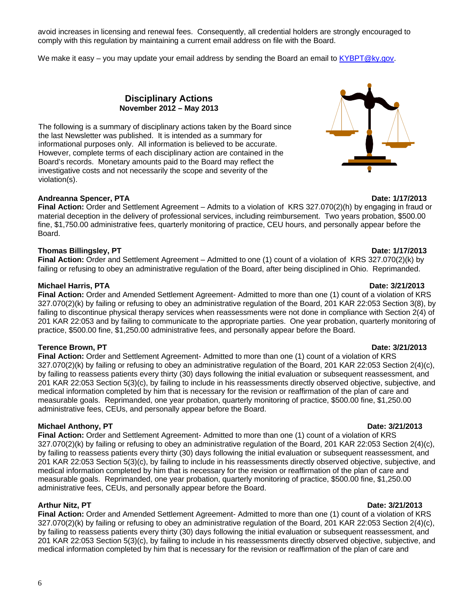6

avoid increases in licensing and renewal fees. Consequently, all credential holders are strongly encouraged to comply with this regulation by maintaining a current email address on file with the Board.

We make it easy – you may update your email address by sending the Board an email to KYBPT@ky.gov.

**Disciplinary Actions November 2012 – May 2013**

The following is a summary of disciplinary actions taken by the Board since the last Newsletter was published. It is intended as a summary for informational purposes only. All information is believed to be accurate. However, complete terms of each disciplinary action are contained in the Board's records. Monetary amounts paid to the Board may reflect the investigative costs and not necessarily the scope and severity of the violation(s).

#### **Andreanna Spencer, PTA Date: 1/17/2013**

**Final Action:** Order and Settlement Agreement – Admits to a violation of KRS 327.070(2)(h) by engaging in fraud or material deception in the delivery of professional services, including reimbursement. Two years probation, \$500.00 fine, \$1,750.00 administrative fees, quarterly monitoring of practice, CEU hours, and personally appear before the Board.

#### **Thomas Billingsley, PT Date: 1/17/2013**

**Final Action:** Order and Settlement Agreement – Admitted to one (1) count of a violation of KRS 327.070(2)(k) by failing or refusing to obey an administrative regulation of the Board, after being disciplined in Ohio. Reprimanded.

#### **Michael Harris, PTA Date: 3/21/2013**

**Final Action:** Order and Amended Settlement Agreement- Admitted to more than one (1) count of a violation of KRS 327.070(2)(k) by failing or refusing to obey an administrative regulation of the Board, 201 KAR 22:053 Section 3(8), by failing to discontinue physical therapy services when reassessments were not done in compliance with Section 2(4) of 201 KAR 22:053 and by failing to communicate to the appropriate parties. One year probation, quarterly monitoring of practice, \$500.00 fine, \$1,250.00 administrative fees, and personally appear before the Board.

#### **Terence Brown, PT Date: 3/21/2013**

**Final Action:** Order and Settlement Agreement- Admitted to more than one (1) count of a violation of KRS 327.070(2)(k) by failing or refusing to obey an administrative regulation of the Board, 201 KAR 22:053 Section 2(4)(c), by failing to reassess patients every thirty (30) days following the initial evaluation or subsequent reassessment, and 201 KAR 22:053 Section 5(3)(c), by failing to include in his reassessments directly observed objective, subjective, and medical information completed by him that is necessary for the revision or reaffirmation of the plan of care and measurable goals. Reprimanded, one year probation, quarterly monitoring of practice, \$500.00 fine, \$1,250.00 administrative fees, CEUs, and personally appear before the Board.

### **Michael Anthony, PT Date: 3/21/2013**

**Final Action:** Order and Settlement Agreement- Admitted to more than one (1) count of a violation of KRS 327.070(2)(k) by failing or refusing to obey an administrative regulation of the Board, 201 KAR 22:053 Section 2(4)(c), by failing to reassess patients every thirty (30) days following the initial evaluation or subsequent reassessment, and 201 KAR 22:053 Section 5(3)(c), by failing to include in his reassessments directly observed objective, subjective, and medical information completed by him that is necessary for the revision or reaffirmation of the plan of care and measurable goals. Reprimanded, one year probation, quarterly monitoring of practice, \$500.00 fine, \$1,250.00 administrative fees, CEUs, and personally appear before the Board.

### **Arthur Nitz, PT Date: 3/21/2013**

**Final Action:** Order and Amended Settlement Agreement- Admitted to more than one (1) count of a violation of KRS 327.070(2)(k) by failing or refusing to obey an administrative regulation of the Board, 201 KAR 22:053 Section 2(4)(c), by failing to reassess patients every thirty (30) days following the initial evaluation or subsequent reassessment, and 201 KAR 22:053 Section 5(3)(c), by failing to include in his reassessments directly observed objective, subjective, and medical information completed by him that is necessary for the revision or reaffirmation of the plan of care and

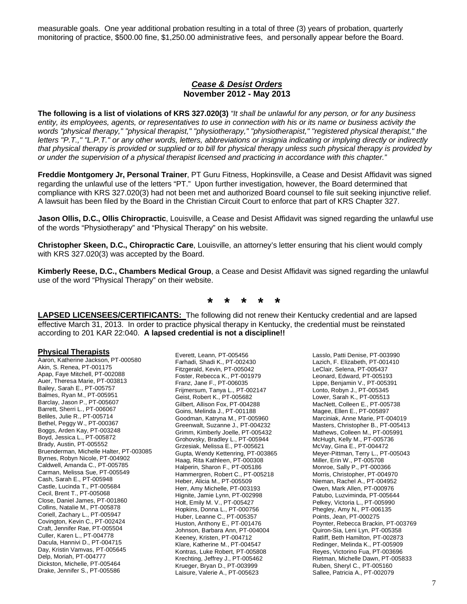measurable goals. One year additional probation resulting in a total of three (3) years of probation, quarterly monitoring of practice, \$500.00 fine, \$1,250.00 administrative fees, and personally appear before the Board.

#### *Cease & Desist Orders* **November 2012 - May 2013**

**The following is a list of violations of KRS 327.020(3)** *"It shall be unlawful for any person, or for any business entity, its employees, agents, or representatives to use in connection with his or its name or business activity the words "physical therapy," "physical therapist," "physiotherapy," "physiotherapist," "registered physical therapist," the letters "P.T.," "L.P.T." or any other words, letters, abbreviations or insignia indicating or implying directly or indirectly that physical therapy is provided or supplied or to bill for physical therapy unless such physical therapy is provided by or under the supervision of a physical therapist licensed and practicing in accordance with this chapter."*

**Freddie Montgomery Jr, Personal Trainer**, PT Guru Fitness, Hopkinsville, a Cease and Desist Affidavit was signed regarding the unlawful use of the letters "PT." Upon further investigation, however, the Board determined that compliance with KRS 327.020(3) had not been met and authorized Board counsel to file suit seeking injunctive relief. A lawsuit has been filed by the Board in the Christian Circuit Court to enforce that part of KRS Chapter 327.

**Jason Ollis, D.C., Ollis Chiropractic**, Louisville, a Cease and Desist Affidavit was signed regarding the unlawful use of the words "Physiotherapy" and "Physical Therapy" on his website.

**Christopher Skeen, D.C., Chiropractic Care**, Louisville, an attorney's letter ensuring that his client would comply with KRS 327.020(3) was accepted by the Board.

**Kimberly Reese, D.C., Chambers Medical Group**, a Cease and Desist Affidavit was signed regarding the unlawful use of the word "Physical Therapy" on their website.

**\* \* \* \* \***

**LAPSED LICENSEES/CERTIFICANTS:** The following did not renew their Kentucky credential and are lapsed effective March 31, 2013. In order to practice physical therapy in Kentucky, the credential must be reinstated according to 201 KAR 22:040. **A lapsed credential is not a discipline!!**

#### **Physical Therapists**

Aaron, Katherine Jackson, PT-000580 Akin, S. Renea, PT-001175 Apap, Faye Mitchell, PT-002088 Auer, Theresa Marie, PT-003813 Bailey, Sarah E., PT-005757 Balmes, Ryan M., PT-005951 Barclay, Jason P., PT-005607 Barrett, Sherri L., PT-006067 Beliles, Julie R., PT-005714 Bethel, Peggy W., PT-000367 Boggs, Arden Kay, PT-003248 Boyd, Jessica L., PT-005872 Brady, Austin, PT-005552 Bruenderman, Michelle Halter, PT-003085 Byrnes, Robyn Nicole, PT-004902 Caldwell, Amanda C., PT-005785 Carman, Melissa Sue, PT-005549 Cash, Sarah E., PT-005948 Castle, Lucinda T., PT-005684 Cecil, Brent T., PT-005068 Close, Daniel James, PT-001860 Collins, Natalie M., PT-005878 Coriell, Zachary L., PT-005947 Covington, Kevin C., PT-002424 Craft, Jennifer Rae, PT-005504 Culler, Karen L., PT-004778 Dacula, Hannivi D., PT-004715 Day, Kristin Vamvas, PT-005645 Delp, Moriah, PT-004777 Dickston, Michelle, PT-005464 Drake, Jennifer S., PT-005586

Everett, Leann, PT-005456 Farhadi, Shadi K., PT-002430 Fitzgerald, Kevin, PT-005042 Foster, Rebecca K., PT-001979 Franz, Jane F., PT-006035 Frijmersum, Tanya L., PT-002147 Geist, Robert K., PT-005682 Gilbert, Allison Fox, PT-004288 Goins, Melinda J., PT-001188 Goodman, Katryna M., PT-005960 Greenwalt, Suzanne J., PT-004232 Grimm, Kimberly Joelle, PT-005432 Grohovsky, Bradley L., PT-005944 Grzesiak, Melissa E., PT-005621 Gupta, Wendy Kettenring, PT-003865 Haag, Rita Kathleen, PT-000308 Halperin, Sharon F., PT-005186 Hammergren, Robert C., PT-005218 Heber, Alicia M., PT-005509 Herr, Amy Michelle, PT-003193 Hignite, Jamie Lynn, PT-002998 Holt, Emily M. V., PT-005427 Hopkins, Donna L., PT-000756 Huber, Leanne C., PT-005357 Huston, Anthony E., PT-001476 Johnson, Barbara Ann, PT-004004 Keeney, Kristen, PT-004712 Klare, Katherine M., PT-004547 Kontras, Luke Robert, PT-005808 Krechting, Jeffrey J., PT-005462 Krueger, Bryan D., PT-003999 Laisure, Valerie A., PT-005623

Lasslo, Patti Denise, PT-003990 Lazich, F. Elizabeth, PT-001410 LeClair, Selena, PT-005437 Leonard, Edward, PT-005193 Lippe, Benjamin V., PT-005391 Lonto, Robyn J., PT-005345 Lower, Sarah K., PT-005513 MacNett, Colleen E., PT-005738 Magee, Ellen E., PT-005897 Marciniak, Anne Marie, PT-004019 Masters, Christopher B., PT-005413 Mathews, Colleen M., PT-005991 McHugh, Kelly M., PT-005736 McVay, Gina E., PT-004472 Meyer-Pittman, Terry L., PT-005043 Miller, Erin W., PT-005708 Monroe, Sally P., PT-000366 Morris, Christopher, PT-004970 Nieman, Rachel A., PT-004952 Owen, Mark Allen, PT-000976 Patubo, Luzviminda, PT-005644 Pelkey, Victoria L., PT-005990 Phegley, Amy N., PT-006135 Points, Jean, PT-000275 Poynter, Rebecca Brackin, PT-003769 Quiron-Sia, Leni Lyn, PT-005358 Ratliff, Beth Hamilton, PT-002873 Redinger, Melinda K., PT-005909 Reyes, Victorino Fua, PT-003696 Rietman, Michelle Dawn, PT-005833 Ruben, Sheryl C., PT-005160 Sallee, Patricia A., PT-002079